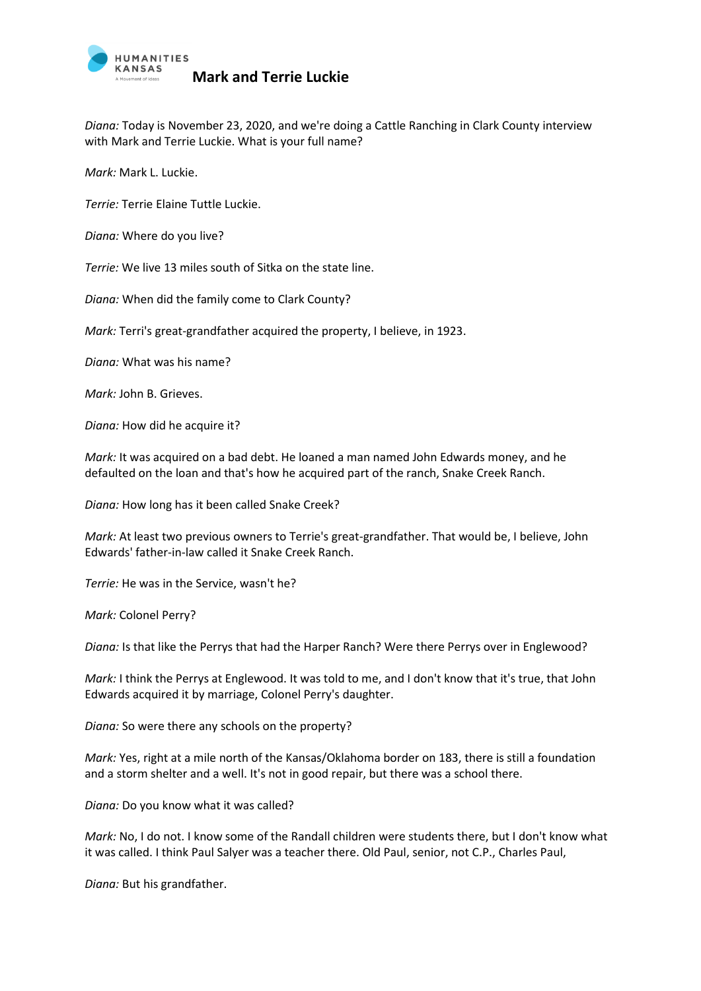

*Diana:* Today is November 23, 2020, and we're doing a Cattle Ranching in Clark County interview with Mark and Terrie Luckie. What is your full name?

*Mark:* Mark L. Luckie.

*Terrie:* Terrie Elaine Tuttle Luckie.

*Diana:* Where do you live?

*Terrie:* We live 13 miles south of Sitka on the state line.

*Diana:* When did the family come to Clark County?

*Mark:* Terri's great-grandfather acquired the property, I believe, in 1923.

*Diana:* What was his name?

*Mark:* John B. Grieves.

*Diana:* How did he acquire it?

*Mark:* It was acquired on a bad debt. He loaned a man named John Edwards money, and he defaulted on the loan and that's how he acquired part of the ranch, Snake Creek Ranch.

*Diana:* How long has it been called Snake Creek?

*Mark:* At least two previous owners to Terrie's great-grandfather. That would be, I believe, John Edwards' father-in-law called it Snake Creek Ranch.

*Terrie:* He was in the Service, wasn't he?

*Mark:* Colonel Perry?

*Diana:* Is that like the Perrys that had the Harper Ranch? Were there Perrys over in Englewood?

*Mark:* I think the Perrys at Englewood. It was told to me, and I don't know that it's true, that John Edwards acquired it by marriage, Colonel Perry's daughter.

*Diana:* So were there any schools on the property?

*Mark:* Yes, right at a mile north of the Kansas/Oklahoma border on 183, there is still a foundation and a storm shelter and a well. It's not in good repair, but there was a school there.

*Diana:* Do you know what it was called?

*Mark:* No, I do not. I know some of the Randall children were students there, but I don't know what it was called. I think Paul Salyer was a teacher there. Old Paul, senior, not C.P., Charles Paul,

*Diana:* But his grandfather.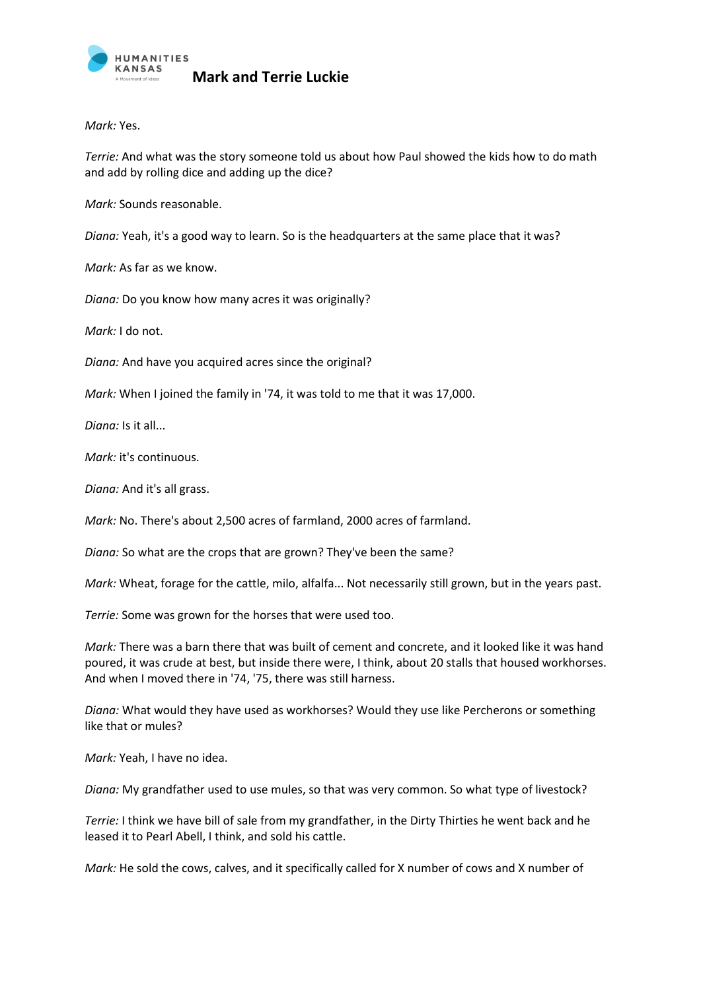

*Mark:* Yes.

*Terrie:* And what was the story someone told us about how Paul showed the kids how to do math and add by rolling dice and adding up the dice?

*Mark:* Sounds reasonable.

*Diana:* Yeah, it's a good way to learn. So is the headquarters at the same place that it was?

*Mark:* As far as we know.

*Diana:* Do you know how many acres it was originally?

*Mark:* I do not.

*Diana:* And have you acquired acres since the original?

*Mark:* When I joined the family in '74, it was told to me that it was 17,000.

*Diana:* Is it all...

*Mark:* it's continuous.

*Diana:* And it's all grass.

*Mark:* No. There's about 2,500 acres of farmland, 2000 acres of farmland.

*Diana:* So what are the crops that are grown? They've been the same?

*Mark:* Wheat, forage for the cattle, milo, alfalfa... Not necessarily still grown, but in the years past.

*Terrie:* Some was grown for the horses that were used too.

*Mark:* There was a barn there that was built of cement and concrete, and it looked like it was hand poured, it was crude at best, but inside there were, I think, about 20 stalls that housed workhorses. And when I moved there in '74, '75, there was still harness.

*Diana:* What would they have used as workhorses? Would they use like Percherons or something like that or mules?

*Mark:* Yeah, I have no idea.

*Diana:* My grandfather used to use mules, so that was very common. So what type of livestock?

*Terrie:* I think we have bill of sale from my grandfather, in the Dirty Thirties he went back and he leased it to Pearl Abell, I think, and sold his cattle.

*Mark:* He sold the cows, calves, and it specifically called for X number of cows and X number of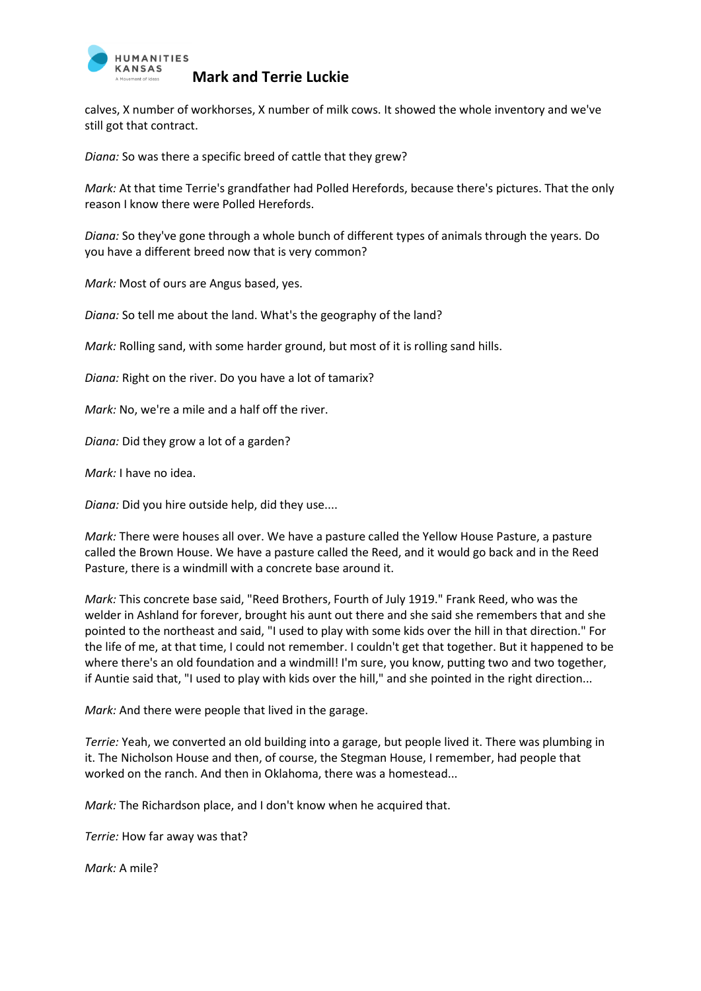

calves, X number of workhorses, X number of milk cows. It showed the whole inventory and we've still got that contract.

*Diana:* So was there a specific breed of cattle that they grew?

*Mark:* At that time Terrie's grandfather had Polled Herefords, because there's pictures. That the only reason I know there were Polled Herefords.

*Diana:* So they've gone through a whole bunch of different types of animals through the years. Do you have a different breed now that is very common?

*Mark:* Most of ours are Angus based, yes.

*Diana:* So tell me about the land. What's the geography of the land?

*Mark:* Rolling sand, with some harder ground, but most of it is rolling sand hills.

*Diana:* Right on the river. Do you have a lot of tamarix?

*Mark:* No, we're a mile and a half off the river.

*Diana:* Did they grow a lot of a garden?

*Mark:* I have no idea.

*Diana:* Did you hire outside help, did they use....

*Mark:* There were houses all over. We have a pasture called the Yellow House Pasture, a pasture called the Brown House. We have a pasture called the Reed, and it would go back and in the Reed Pasture, there is a windmill with a concrete base around it.

*Mark:* This concrete base said, "Reed Brothers, Fourth of July 1919." Frank Reed, who was the welder in Ashland for forever, brought his aunt out there and she said she remembers that and she pointed to the northeast and said, "I used to play with some kids over the hill in that direction." For the life of me, at that time, I could not remember. I couldn't get that together. But it happened to be where there's an old foundation and a windmill! I'm sure, you know, putting two and two together, if Auntie said that, "I used to play with kids over the hill," and she pointed in the right direction...

*Mark:* And there were people that lived in the garage.

*Terrie:* Yeah, we converted an old building into a garage, but people lived it. There was plumbing in it. The Nicholson House and then, of course, the Stegman House, I remember, had people that worked on the ranch. And then in Oklahoma, there was a homestead...

*Mark:* The Richardson place, and I don't know when he acquired that.

*Terrie:* How far away was that?

*Mark:* A mile?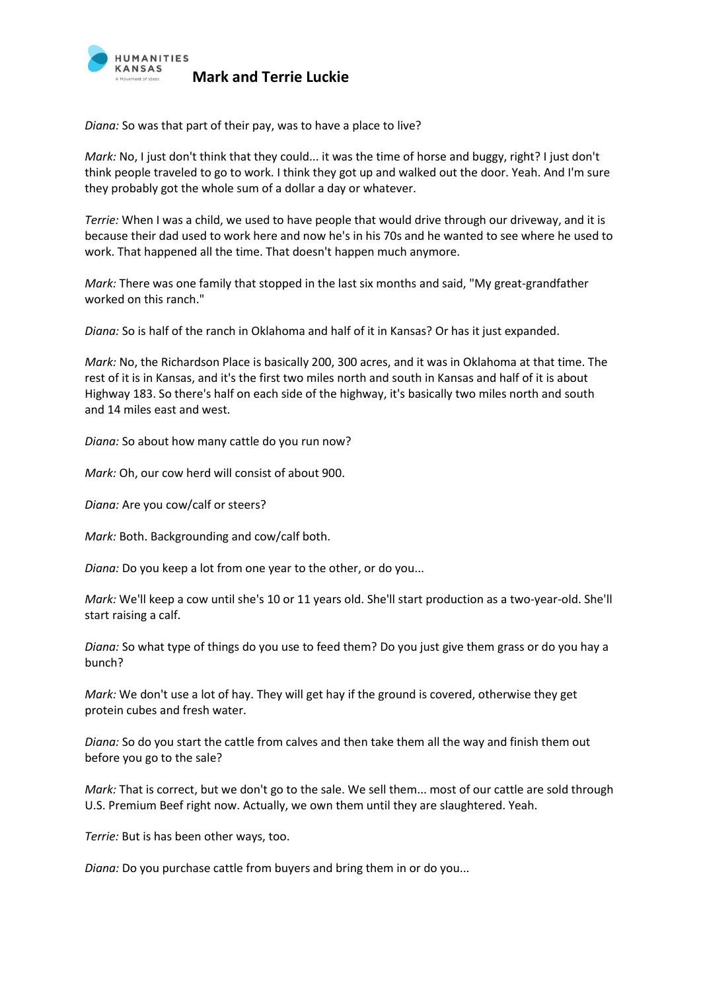

*Diana:* So was that part of their pay, was to have a place to live?

*Mark:* No, I just don't think that they could... it was the time of horse and buggy, right? I just don't think people traveled to go to work. I think they got up and walked out the door. Yeah. And I'm sure they probably got the whole sum of a dollar a day or whatever.

*Terrie:* When I was a child, we used to have people that would drive through our driveway, and it is because their dad used to work here and now he's in his 70s and he wanted to see where he used to work. That happened all the time. That doesn't happen much anymore.

*Mark:* There was one family that stopped in the last six months and said, "My great-grandfather worked on this ranch."

*Diana:* So is half of the ranch in Oklahoma and half of it in Kansas? Or has it just expanded.

*Mark:* No, the Richardson Place is basically 200, 300 acres, and it was in Oklahoma at that time. The rest of it is in Kansas, and it's the first two miles north and south in Kansas and half of it is about Highway 183. So there's half on each side of the highway, it's basically two miles north and south and 14 miles east and west.

*Diana:* So about how many cattle do you run now?

*Mark:* Oh, our cow herd will consist of about 900.

*Diana:* Are you cow/calf or steers?

*Mark:* Both. Backgrounding and cow/calf both.

*Diana:* Do you keep a lot from one year to the other, or do you...

*Mark:* We'll keep a cow until she's 10 or 11 years old. She'll start production as a two-year-old. She'll start raising a calf.

*Diana:* So what type of things do you use to feed them? Do you just give them grass or do you hay a bunch?

*Mark:* We don't use a lot of hay. They will get hay if the ground is covered, otherwise they get protein cubes and fresh water.

*Diana:* So do you start the cattle from calves and then take them all the way and finish them out before you go to the sale?

*Mark:* That is correct, but we don't go to the sale. We sell them... most of our cattle are sold through U.S. Premium Beef right now. Actually, we own them until they are slaughtered. Yeah.

*Terrie:* But is has been other ways, too.

*Diana:* Do you purchase cattle from buyers and bring them in or do you...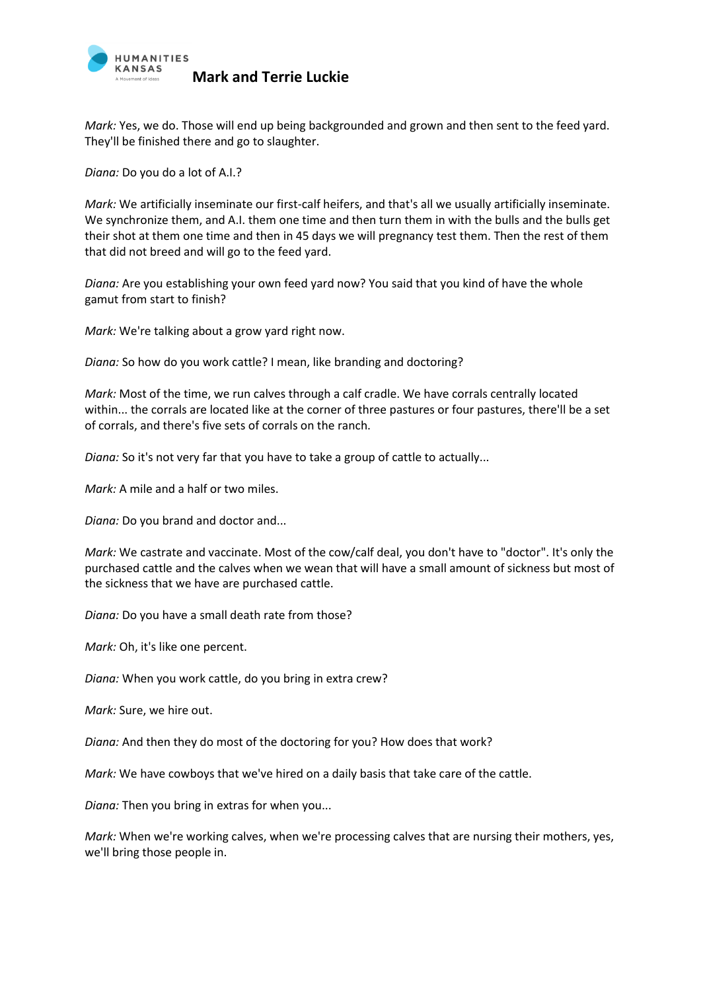

*Mark:* Yes, we do. Those will end up being backgrounded and grown and then sent to the feed yard. They'll be finished there and go to slaughter.

*Diana:* Do you do a lot of A.I.?

*Mark:* We artificially inseminate our first-calf heifers, and that's all we usually artificially inseminate. We synchronize them, and A.I. them one time and then turn them in with the bulls and the bulls get their shot at them one time and then in 45 days we will pregnancy test them. Then the rest of them that did not breed and will go to the feed yard.

*Diana:* Are you establishing your own feed yard now? You said that you kind of have the whole gamut from start to finish?

*Mark:* We're talking about a grow yard right now.

*Diana:* So how do you work cattle? I mean, like branding and doctoring?

*Mark:* Most of the time, we run calves through a calf cradle. We have corrals centrally located within... the corrals are located like at the corner of three pastures or four pastures, there'll be a set of corrals, and there's five sets of corrals on the ranch.

*Diana:* So it's not very far that you have to take a group of cattle to actually...

*Mark:* A mile and a half or two miles.

*Diana:* Do you brand and doctor and...

*Mark:* We castrate and vaccinate. Most of the cow/calf deal, you don't have to "doctor". It's only the purchased cattle and the calves when we wean that will have a small amount of sickness but most of the sickness that we have are purchased cattle.

*Diana:* Do you have a small death rate from those?

*Mark:* Oh, it's like one percent.

*Diana:* When you work cattle, do you bring in extra crew?

*Mark:* Sure, we hire out.

*Diana:* And then they do most of the doctoring for you? How does that work?

*Mark:* We have cowboys that we've hired on a daily basis that take care of the cattle.

*Diana:* Then you bring in extras for when you...

*Mark:* When we're working calves, when we're processing calves that are nursing their mothers, yes, we'll bring those people in.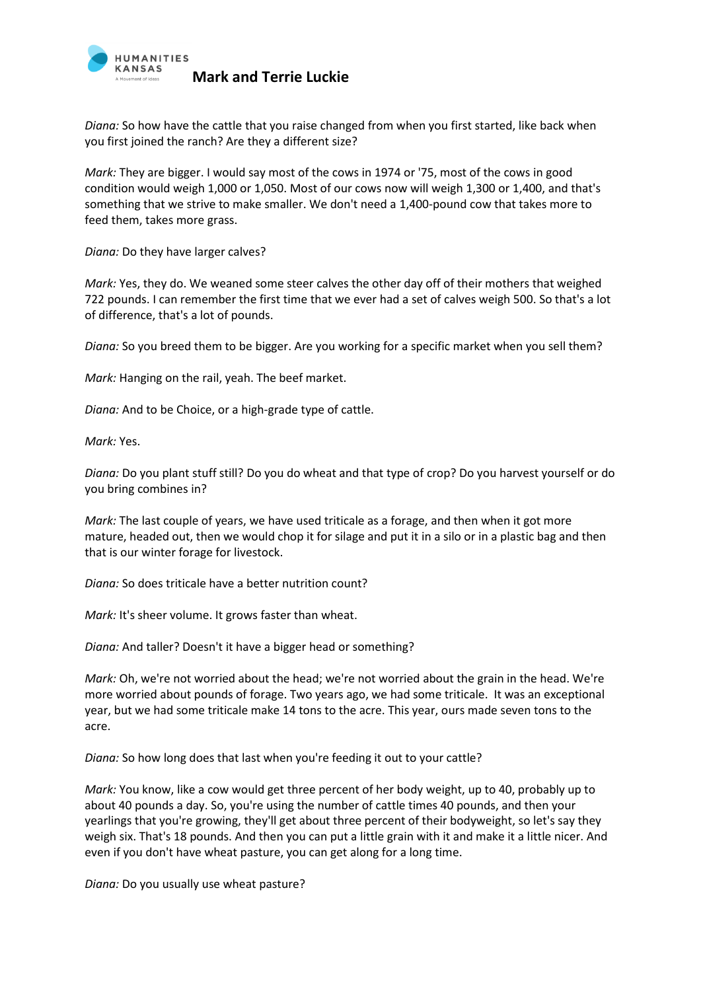

*Diana:* So how have the cattle that you raise changed from when you first started, like back when you first joined the ranch? Are they a different size?

*Mark:* They are bigger. I would say most of the cows in 1974 or '75, most of the cows in good condition would weigh 1,000 or 1,050. Most of our cows now will weigh 1,300 or 1,400, and that's something that we strive to make smaller. We don't need a 1,400-pound cow that takes more to feed them, takes more grass.

*Diana:* Do they have larger calves?

*Mark:* Yes, they do. We weaned some steer calves the other day off of their mothers that weighed 722 pounds. I can remember the first time that we ever had a set of calves weigh 500. So that's a lot of difference, that's a lot of pounds.

*Diana:* So you breed them to be bigger. Are you working for a specific market when you sell them?

*Mark:* Hanging on the rail, yeah. The beef market.

*Diana:* And to be Choice, or a high-grade type of cattle.

*Mark:* Yes.

*Diana:* Do you plant stuff still? Do you do wheat and that type of crop? Do you harvest yourself or do you bring combines in?

*Mark:* The last couple of years, we have used triticale as a forage, and then when it got more mature, headed out, then we would chop it for silage and put it in a silo or in a plastic bag and then that is our winter forage for livestock.

*Diana:* So does triticale have a better nutrition count?

*Mark: It's sheer volume. It grows faster than wheat.* 

*Diana:* And taller? Doesn't it have a bigger head or something?

*Mark:* Oh, we're not worried about the head; we're not worried about the grain in the head. We're more worried about pounds of forage. Two years ago, we had some triticale. It was an exceptional year, but we had some triticale make 14 tons to the acre. This year, ours made seven tons to the acre.

*Diana:* So how long does that last when you're feeding it out to your cattle?

*Mark:* You know, like a cow would get three percent of her body weight, up to 40, probably up to about 40 pounds a day. So, you're using the number of cattle times 40 pounds, and then your yearlings that you're growing, they'll get about three percent of their bodyweight, so let's say they weigh six. That's 18 pounds. And then you can put a little grain with it and make it a little nicer. And even if you don't have wheat pasture, you can get along for a long time.

*Diana:* Do you usually use wheat pasture?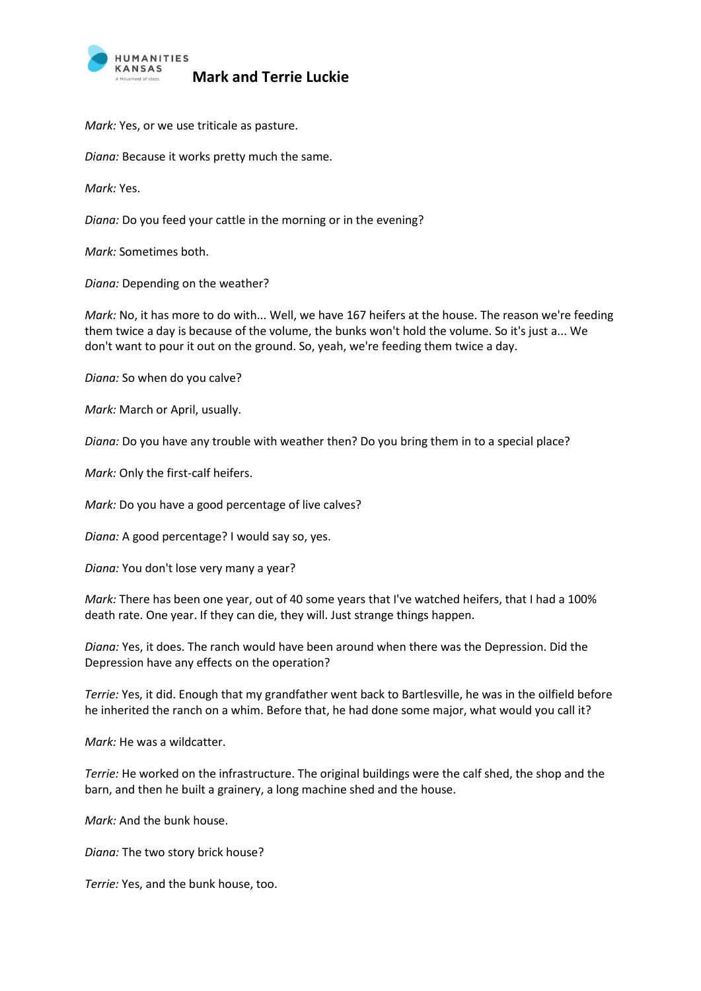

*Mark:* Yes, or we use triticale as pasture.

*Diana:* Because it works pretty much the same.

*Mark:* Yes.

*Diana:* Do you feed your cattle in the morning or in the evening?

*Mark:* Sometimes both.

*Diana:* Depending on the weather?

*Mark:* No, it has more to do with... Well, we have 167 heifers at the house. The reason we're feeding them twice a day is because of the volume, the bunks won't hold the volume. So it's just a... We don't want to pour it out on the ground. So, yeah, we're feeding them twice a day.

*Diana:* So when do you calve?

*Mark:* March or April, usually.

*Diana:* Do you have any trouble with weather then? Do you bring them in to a special place?

*Mark:* Only the first-calf heifers.

*Mark:* Do you have a good percentage of live calves?

*Diana:* A good percentage? I would say so, yes.

*Diana:* You don't lose very many a year?

*Mark:* There has been one year, out of 40 some years that I've watched heifers, that I had a 100% death rate. One year. If they can die, they will. Just strange things happen.

*Diana:* Yes, it does. The ranch would have been around when there was the Depression. Did the Depression have any effects on the operation?

*Terrie:* Yes, it did. Enough that my grandfather went back to Bartlesville, he was in the oilfield before he inherited the ranch on a whim. Before that, he had done some major, what would you call it?

*Mark:* He was a wildcatter.

*Terrie:* He worked on the infrastructure. The original buildings were the calf shed, the shop and the barn, and then he built a grainery, a long machine shed and the house.

*Mark:* And the bunk house.

*Diana:* The two story brick house?

*Terrie:* Yes, and the bunk house, too.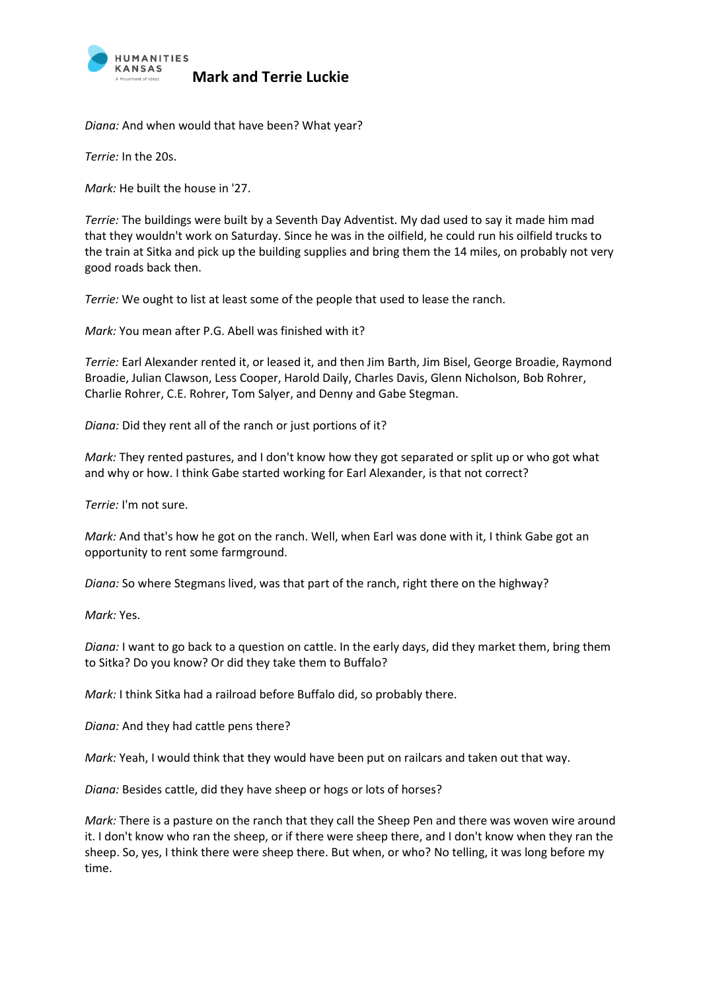

*Diana:* And when would that have been? What year?

*Terrie:* In the 20s.

*Mark:* He built the house in '27.

*Terrie:* The buildings were built by a Seventh Day Adventist. My dad used to say it made him mad that they wouldn't work on Saturday. Since he was in the oilfield, he could run his oilfield trucks to the train at Sitka and pick up the building supplies and bring them the 14 miles, on probably not very good roads back then.

*Terrie:* We ought to list at least some of the people that used to lease the ranch.

*Mark:* You mean after P.G. Abell was finished with it?

*Terrie:* Earl Alexander rented it, or leased it, and then Jim Barth, Jim Bisel, George Broadie, Raymond Broadie, Julian Clawson, Less Cooper, Harold Daily, Charles Davis, Glenn Nicholson, Bob Rohrer, Charlie Rohrer, C.E. Rohrer, Tom Salyer, and Denny and Gabe Stegman.

*Diana:* Did they rent all of the ranch or just portions of it?

*Mark:* They rented pastures, and I don't know how they got separated or split up or who got what and why or how. I think Gabe started working for Earl Alexander, is that not correct?

*Terrie:* I'm not sure.

*Mark:* And that's how he got on the ranch. Well, when Earl was done with it, I think Gabe got an opportunity to rent some farmground.

*Diana:* So where Stegmans lived, was that part of the ranch, right there on the highway?

*Mark:* Yes.

*Diana:* I want to go back to a question on cattle. In the early days, did they market them, bring them to Sitka? Do you know? Or did they take them to Buffalo?

*Mark:* I think Sitka had a railroad before Buffalo did, so probably there.

*Diana:* And they had cattle pens there?

*Mark:* Yeah, I would think that they would have been put on railcars and taken out that way.

*Diana:* Besides cattle, did they have sheep or hogs or lots of horses?

*Mark:* There is a pasture on the ranch that they call the Sheep Pen and there was woven wire around it. I don't know who ran the sheep, or if there were sheep there, and I don't know when they ran the sheep. So, yes, I think there were sheep there. But when, or who? No telling, it was long before my time.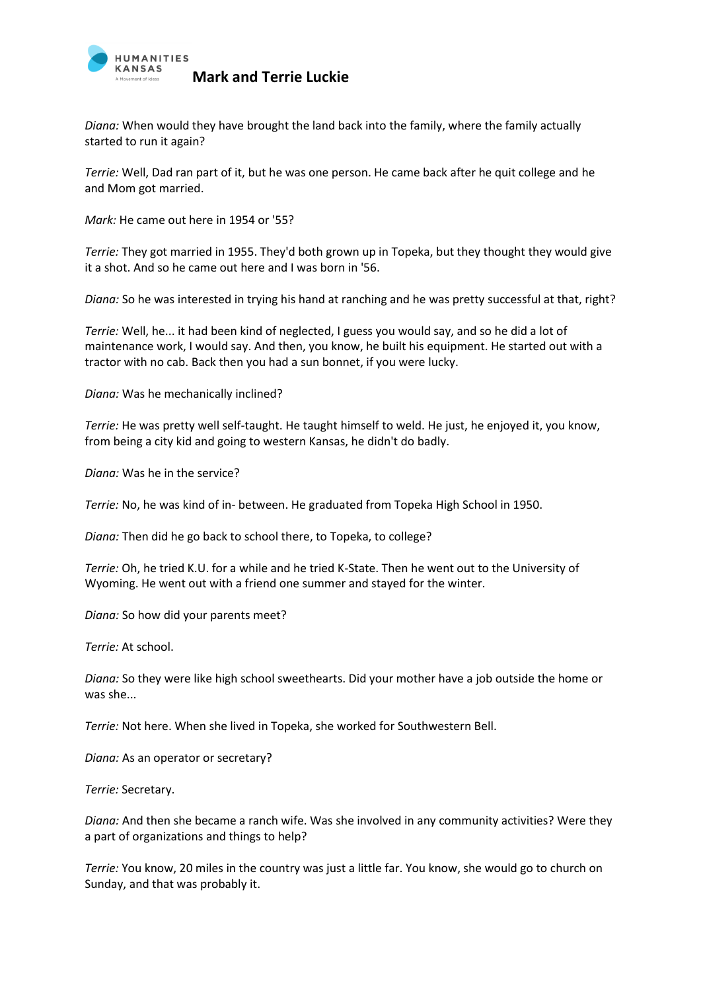

*Diana:* When would they have brought the land back into the family, where the family actually started to run it again?

*Terrie:* Well, Dad ran part of it, but he was one person. He came back after he quit college and he and Mom got married.

*Mark:* He came out here in 1954 or '55?

*Terrie:* They got married in 1955. They'd both grown up in Topeka, but they thought they would give it a shot. And so he came out here and I was born in '56.

*Diana:* So he was interested in trying his hand at ranching and he was pretty successful at that, right?

*Terrie:* Well, he... it had been kind of neglected, I guess you would say, and so he did a lot of maintenance work, I would say. And then, you know, he built his equipment. He started out with a tractor with no cab. Back then you had a sun bonnet, if you were lucky.

*Diana:* Was he mechanically inclined?

*Terrie:* He was pretty well self-taught. He taught himself to weld. He just, he enjoyed it, you know, from being a city kid and going to western Kansas, he didn't do badly.

*Diana:* Was he in the service?

*Terrie:* No, he was kind of in- between. He graduated from Topeka High School in 1950.

*Diana:* Then did he go back to school there, to Topeka, to college?

*Terrie:* Oh, he tried K.U. for a while and he tried K-State. Then he went out to the University of Wyoming. He went out with a friend one summer and stayed for the winter.

*Diana:* So how did your parents meet?

*Terrie:* At school.

*Diana:* So they were like high school sweethearts. Did your mother have a job outside the home or was she...

*Terrie:* Not here. When she lived in Topeka, she worked for Southwestern Bell.

*Diana:* As an operator or secretary?

*Terrie:* Secretary.

*Diana:* And then she became a ranch wife. Was she involved in any community activities? Were they a part of organizations and things to help?

*Terrie:* You know, 20 miles in the country was just a little far. You know, she would go to church on Sunday, and that was probably it.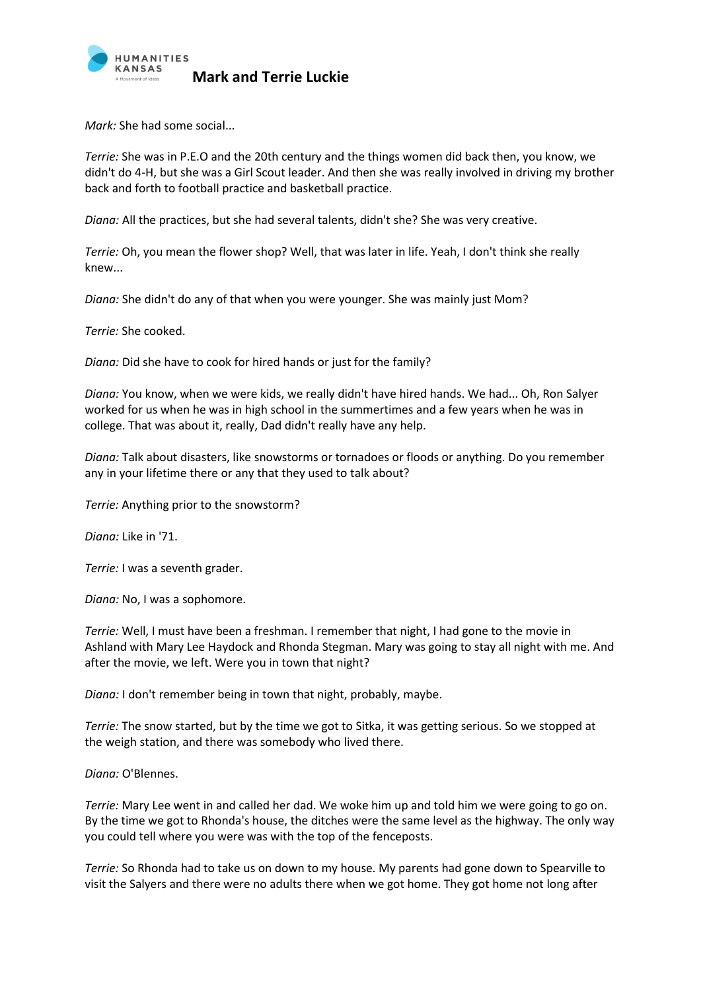

*Mark:* She had some social...

*Terrie:* She was in P.E.O and the 20th century and the things women did back then, you know, we didn't do 4-H, but she was a Girl Scout leader. And then she was really involved in driving my brother back and forth to football practice and basketball practice.

*Diana:* All the practices, but she had several talents, didn't she? She was very creative.

*Terrie:* Oh, you mean the flower shop? Well, that was later in life. Yeah, I don't think she really knew...

*Diana:* She didn't do any of that when you were younger. She was mainly just Mom?

*Terrie:* She cooked.

*Diana:* Did she have to cook for hired hands or just for the family?

*Diana:* You know, when we were kids, we really didn't have hired hands. We had... Oh, Ron Salyer worked for us when he was in high school in the summertimes and a few years when he was in college. That was about it, really, Dad didn't really have any help.

*Diana:* Talk about disasters, like snowstorms or tornadoes or floods or anything. Do you remember any in your lifetime there or any that they used to talk about?

*Terrie:* Anything prior to the snowstorm?

*Diana:* Like in '71.

*Terrie:* I was a seventh grader.

*Diana:* No, I was a sophomore.

*Terrie:* Well, I must have been a freshman. I remember that night, I had gone to the movie in Ashland with Mary Lee Haydock and Rhonda Stegman. Mary was going to stay all night with me. And after the movie, we left. Were you in town that night?

*Diana:* I don't remember being in town that night, probably, maybe.

*Terrie:* The snow started, but by the time we got to Sitka, it was getting serious. So we stopped at the weigh station, and there was somebody who lived there.

*Diana:* O'Blennes.

*Terrie:* Mary Lee went in and called her dad. We woke him up and told him we were going to go on. By the time we got to Rhonda's house, the ditches were the same level as the highway. The only way you could tell where you were was with the top of the fenceposts.

*Terrie:* So Rhonda had to take us on down to my house. My parents had gone down to Spearville to visit the Salyers and there were no adults there when we got home. They got home not long after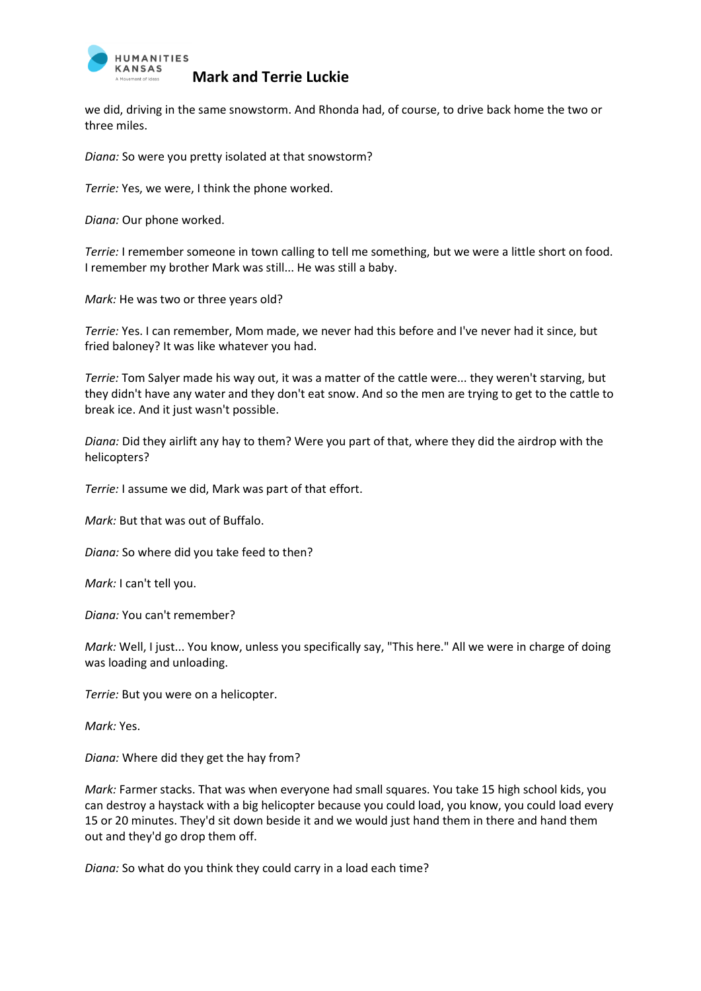

we did, driving in the same snowstorm. And Rhonda had, of course, to drive back home the two or three miles.

*Diana:* So were you pretty isolated at that snowstorm?

*Terrie:* Yes, we were, I think the phone worked.

*Diana:* Our phone worked.

*Terrie:* I remember someone in town calling to tell me something, but we were a little short on food. I remember my brother Mark was still... He was still a baby.

*Mark:* He was two or three years old?

*Terrie:* Yes. I can remember, Mom made, we never had this before and I've never had it since, but fried baloney? It was like whatever you had.

*Terrie:* Tom Salyer made his way out, it was a matter of the cattle were... they weren't starving, but they didn't have any water and they don't eat snow. And so the men are trying to get to the cattle to break ice. And it just wasn't possible.

*Diana:* Did they airlift any hay to them? Were you part of that, where they did the airdrop with the helicopters?

*Terrie:* I assume we did, Mark was part of that effort.

*Mark:* But that was out of Buffalo.

*Diana:* So where did you take feed to then?

*Mark:* I can't tell you.

*Diana:* You can't remember?

*Mark:* Well, I just... You know, unless you specifically say, "This here." All we were in charge of doing was loading and unloading.

*Terrie:* But you were on a helicopter.

*Mark:* Yes.

*Diana:* Where did they get the hay from?

*Mark:* Farmer stacks. That was when everyone had small squares. You take 15 high school kids, you can destroy a haystack with a big helicopter because you could load, you know, you could load every 15 or 20 minutes. They'd sit down beside it and we would just hand them in there and hand them out and they'd go drop them off.

*Diana:* So what do you think they could carry in a load each time?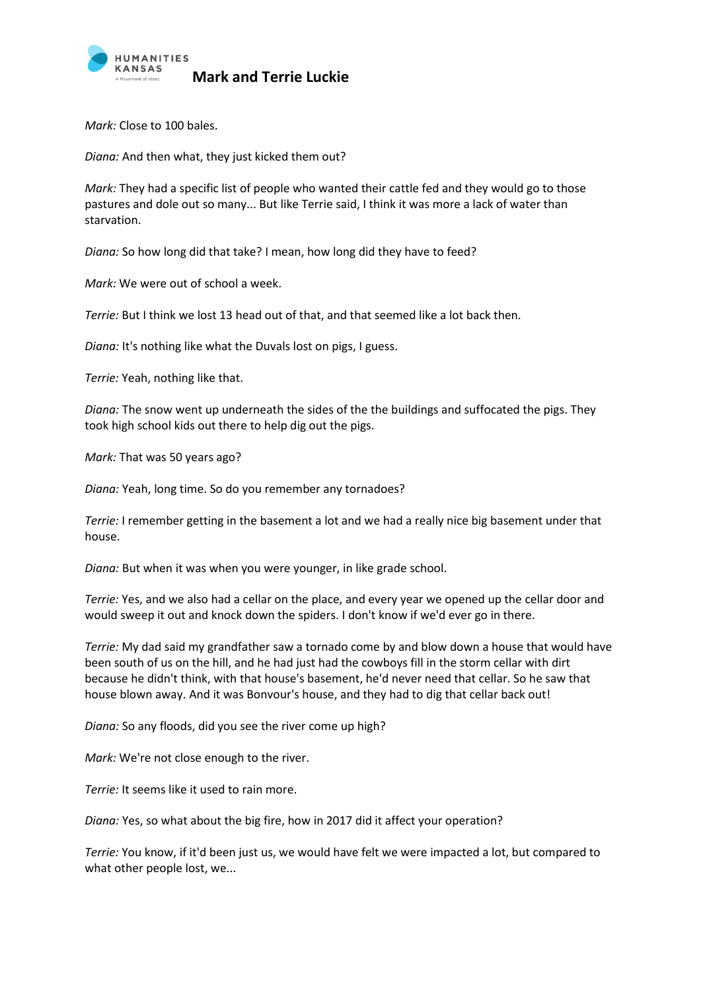

*Mark:* Close to 100 bales.

*Diana:* And then what, they just kicked them out?

*Mark:* They had a specific list of people who wanted their cattle fed and they would go to those pastures and dole out so many... But like Terrie said, I think it was more a lack of water than starvation.

*Diana:* So how long did that take? I mean, how long did they have to feed?

*Mark:* We were out of school a week.

*Terrie:* But I think we lost 13 head out of that, and that seemed like a lot back then.

*Diana:* It's nothing like what the Duvals lost on pigs, I guess.

*Terrie:* Yeah, nothing like that.

*Diana:* The snow went up underneath the sides of the the buildings and suffocated the pigs. They took high school kids out there to help dig out the pigs.

*Mark:* That was 50 years ago?

*Diana:* Yeah, long time. So do you remember any tornadoes?

*Terrie:* I remember getting in the basement a lot and we had a really nice big basement under that house.

*Diana:* But when it was when you were younger, in like grade school.

*Terrie:* Yes, and we also had a cellar on the place, and every year we opened up the cellar door and would sweep it out and knock down the spiders. I don't know if we'd ever go in there.

*Terrie:* My dad said my grandfather saw a tornado come by and blow down a house that would have been south of us on the hill, and he had just had the cowboys fill in the storm cellar with dirt because he didn't think, with that house's basement, he'd never need that cellar. So he saw that house blown away. And it was Bonvour's house, and they had to dig that cellar back out!

*Diana:* So any floods, did you see the river come up high?

*Mark:* We're not close enough to the river.

*Terrie:* It seems like it used to rain more.

*Diana:* Yes, so what about the big fire, how in 2017 did it affect your operation?

*Terrie:* You know, if it'd been just us, we would have felt we were impacted a lot, but compared to what other people lost, we...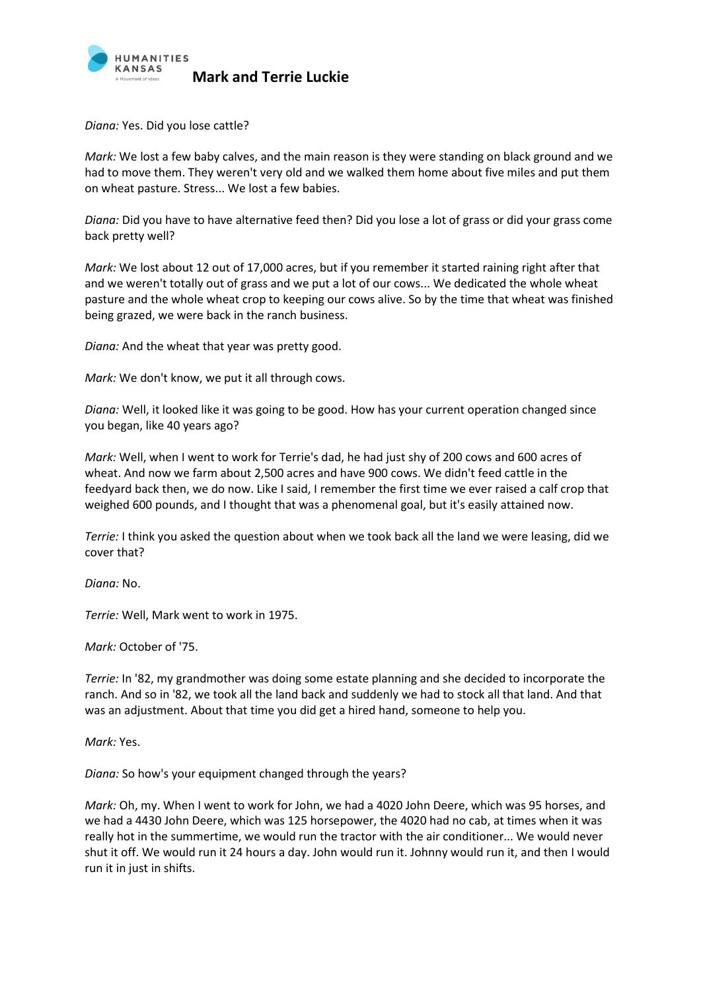

*Diana:* Yes. Did you lose cattle?

*Mark:* We lost a few baby calves, and the main reason is they were standing on black ground and we had to move them. They weren't very old and we walked them home about five miles and put them on wheat pasture. Stress... We lost a few babies.

*Diana:* Did you have to have alternative feed then? Did you lose a lot of grass or did your grass come back pretty well?

*Mark:* We lost about 12 out of 17,000 acres, but if you remember it started raining right after that and we weren't totally out of grass and we put a lot of our cows... We dedicated the whole wheat pasture and the whole wheat crop to keeping our cows alive. So by the time that wheat was finished being grazed, we were back in the ranch business.

*Diana:* And the wheat that year was pretty good.

*Mark:* We don't know, we put it all through cows.

*Diana:* Well, it looked like it was going to be good. How has your current operation changed since you began, like 40 years ago?

*Mark:* Well, when I went to work for Terrie's dad, he had just shy of 200 cows and 600 acres of wheat. And now we farm about 2,500 acres and have 900 cows. We didn't feed cattle in the feedyard back then, we do now. Like I said, I remember the first time we ever raised a calf crop that weighed 600 pounds, and I thought that was a phenomenal goal, but it's easily attained now.

*Terrie:* I think you asked the question about when we took back all the land we were leasing, did we cover that?

*Diana:* No.

*Terrie:* Well, Mark went to work in 1975.

*Mark:* October of '75.

*Terrie:* In '82, my grandmother was doing some estate planning and she decided to incorporate the ranch. And so in '82, we took all the land back and suddenly we had to stock all that land. And that was an adjustment. About that time you did get a hired hand, someone to help you.

*Mark:* Yes.

*Diana:* So how's your equipment changed through the years?

*Mark:* Oh, my. When I went to work for John, we had a 4020 John Deere, which was 95 horses, and we had a 4430 John Deere, which was 125 horsepower, the 4020 had no cab, at times when it was really hot in the summertime, we would run the tractor with the air conditioner... We would never shut it off. We would run it 24 hours a day. John would run it. Johnny would run it, and then I would run it in just in shifts.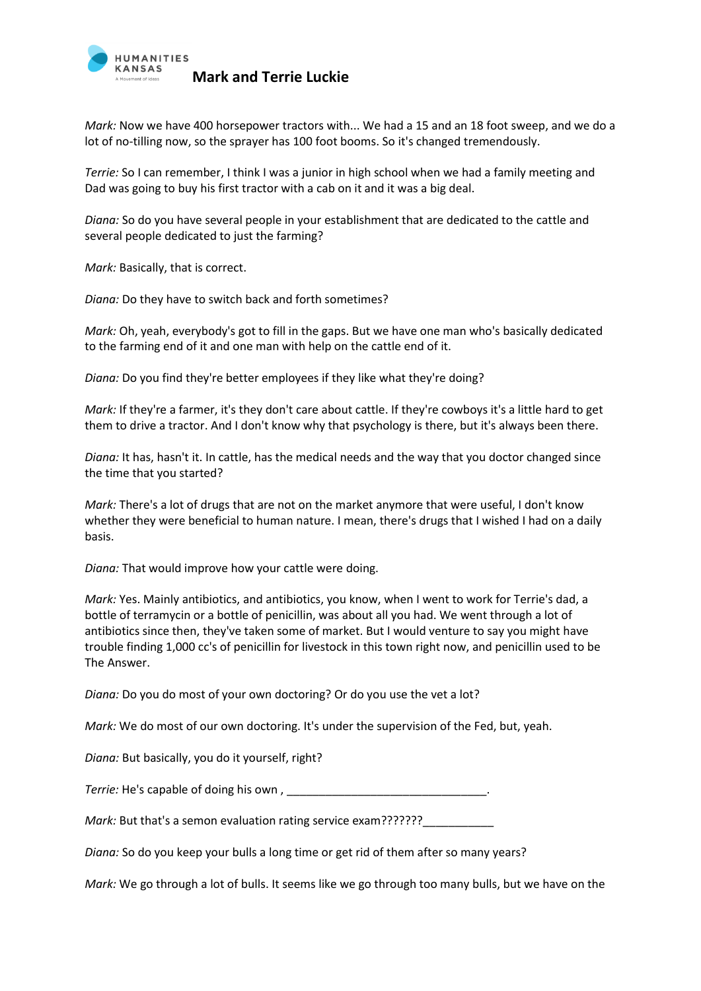

*Mark:* Now we have 400 horsepower tractors with... We had a 15 and an 18 foot sweep, and we do a lot of no-tilling now, so the sprayer has 100 foot booms. So it's changed tremendously.

*Terrie:* So I can remember, I think I was a junior in high school when we had a family meeting and Dad was going to buy his first tractor with a cab on it and it was a big deal.

*Diana:* So do you have several people in your establishment that are dedicated to the cattle and several people dedicated to just the farming?

*Mark:* Basically, that is correct.

*Diana:* Do they have to switch back and forth sometimes?

*Mark:* Oh, yeah, everybody's got to fill in the gaps. But we have one man who's basically dedicated to the farming end of it and one man with help on the cattle end of it.

*Diana:* Do you find they're better employees if they like what they're doing?

*Mark:* If they're a farmer, it's they don't care about cattle. If they're cowboys it's a little hard to get them to drive a tractor. And I don't know why that psychology is there, but it's always been there.

*Diana:* It has, hasn't it. In cattle, has the medical needs and the way that you doctor changed since the time that you started?

*Mark:* There's a lot of drugs that are not on the market anymore that were useful, I don't know whether they were beneficial to human nature. I mean, there's drugs that I wished I had on a daily basis.

*Diana:* That would improve how your cattle were doing.

*Mark:* Yes. Mainly antibiotics, and antibiotics, you know, when I went to work for Terrie's dad, a bottle of terramycin or a bottle of penicillin, was about all you had. We went through a lot of antibiotics since then, they've taken some of market. But I would venture to say you might have trouble finding 1,000 cc's of penicillin for livestock in this town right now, and penicillin used to be The Answer.

*Diana:* Do you do most of your own doctoring? Or do you use the vet a lot?

*Mark:* We do most of our own doctoring. It's under the supervision of the Fed, but, yeah.

*Diana:* But basically, you do it yourself, right?

*Terrie:* He's capable of doing his own , \_\_\_\_\_\_\_\_\_\_\_\_\_\_\_\_\_\_\_\_\_\_\_\_\_\_\_\_\_\_\_.

*Mark: But that's a semon evaluation rating service exam???????* 

*Diana:* So do you keep your bulls a long time or get rid of them after so many years?

*Mark:* We go through a lot of bulls. It seems like we go through too many bulls, but we have on the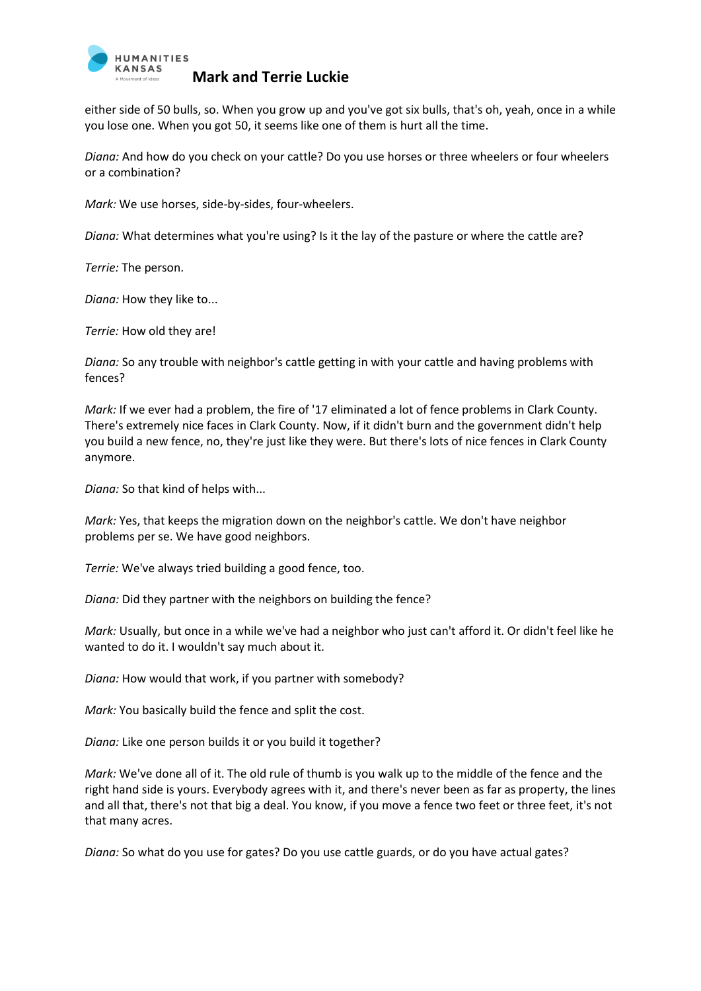

either side of 50 bulls, so. When you grow up and you've got six bulls, that's oh, yeah, once in a while you lose one. When you got 50, it seems like one of them is hurt all the time.

*Diana:* And how do you check on your cattle? Do you use horses or three wheelers or four wheelers or a combination?

*Mark:* We use horses, side-by-sides, four-wheelers.

*Diana:* What determines what you're using? Is it the lay of the pasture or where the cattle are?

*Terrie:* The person.

*Diana:* How they like to...

*Terrie:* How old they are!

*Diana:* So any trouble with neighbor's cattle getting in with your cattle and having problems with fences?

*Mark:* If we ever had a problem, the fire of '17 eliminated a lot of fence problems in Clark County. There's extremely nice faces in Clark County. Now, if it didn't burn and the government didn't help you build a new fence, no, they're just like they were. But there's lots of nice fences in Clark County anymore.

*Diana:* So that kind of helps with...

*Mark:* Yes, that keeps the migration down on the neighbor's cattle. We don't have neighbor problems per se. We have good neighbors.

*Terrie:* We've always tried building a good fence, too.

*Diana:* Did they partner with the neighbors on building the fence?

*Mark:* Usually, but once in a while we've had a neighbor who just can't afford it. Or didn't feel like he wanted to do it. I wouldn't say much about it.

*Diana:* How would that work, if you partner with somebody?

*Mark:* You basically build the fence and split the cost.

*Diana:* Like one person builds it or you build it together?

*Mark:* We've done all of it. The old rule of thumb is you walk up to the middle of the fence and the right hand side is yours. Everybody agrees with it, and there's never been as far as property, the lines and all that, there's not that big a deal. You know, if you move a fence two feet or three feet, it's not that many acres.

*Diana:* So what do you use for gates? Do you use cattle guards, or do you have actual gates?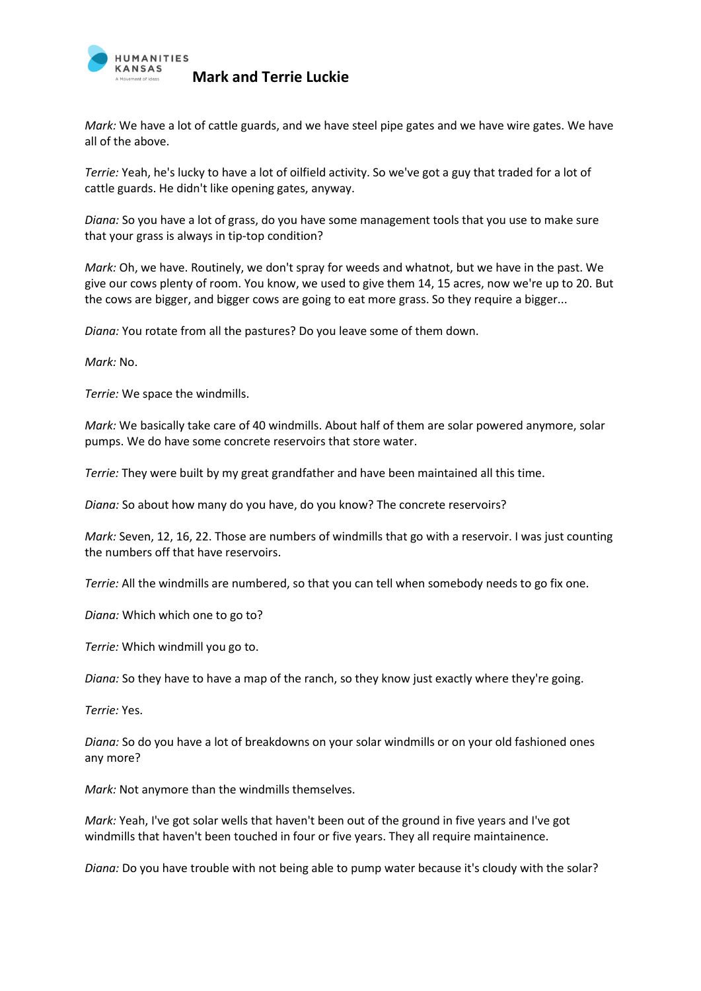

*Mark:* We have a lot of cattle guards, and we have steel pipe gates and we have wire gates. We have all of the above.

*Terrie:* Yeah, he's lucky to have a lot of oilfield activity. So we've got a guy that traded for a lot of cattle guards. He didn't like opening gates, anyway.

*Diana:* So you have a lot of grass, do you have some management tools that you use to make sure that your grass is always in tip-top condition?

*Mark:* Oh, we have. Routinely, we don't spray for weeds and whatnot, but we have in the past. We give our cows plenty of room. You know, we used to give them 14, 15 acres, now we're up to 20. But the cows are bigger, and bigger cows are going to eat more grass. So they require a bigger...

*Diana:* You rotate from all the pastures? Do you leave some of them down.

*Mark:* No.

*Terrie:* We space the windmills.

*Mark:* We basically take care of 40 windmills. About half of them are solar powered anymore, solar pumps. We do have some concrete reservoirs that store water.

*Terrie:* They were built by my great grandfather and have been maintained all this time.

*Diana:* So about how many do you have, do you know? The concrete reservoirs?

*Mark:* Seven, 12, 16, 22. Those are numbers of windmills that go with a reservoir. I was just counting the numbers off that have reservoirs.

*Terrie:* All the windmills are numbered, so that you can tell when somebody needs to go fix one.

*Diana:* Which which one to go to?

*Terrie:* Which windmill you go to.

*Diana:* So they have to have a map of the ranch, so they know just exactly where they're going.

*Terrie:* Yes.

*Diana:* So do you have a lot of breakdowns on your solar windmills or on your old fashioned ones any more?

*Mark:* Not anymore than the windmills themselves.

*Mark:* Yeah, I've got solar wells that haven't been out of the ground in five years and I've got windmills that haven't been touched in four or five years. They all require maintainence.

*Diana:* Do you have trouble with not being able to pump water because it's cloudy with the solar?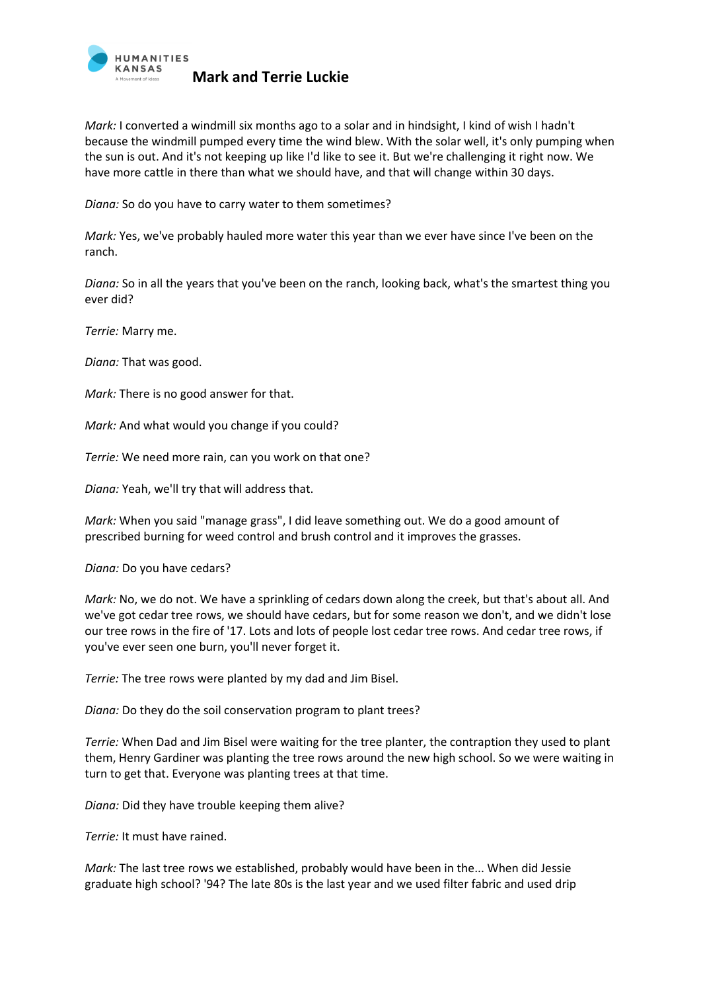

*Mark:* I converted a windmill six months ago to a solar and in hindsight, I kind of wish I hadn't because the windmill pumped every time the wind blew. With the solar well, it's only pumping when the sun is out. And it's not keeping up like I'd like to see it. But we're challenging it right now. We have more cattle in there than what we should have, and that will change within 30 days.

*Diana:* So do you have to carry water to them sometimes?

*Mark:* Yes, we've probably hauled more water this year than we ever have since I've been on the ranch.

*Diana:* So in all the years that you've been on the ranch, looking back, what's the smartest thing you ever did?

*Terrie:* Marry me.

*Diana:* That was good.

*Mark:* There is no good answer for that.

*Mark:* And what would you change if you could?

*Terrie:* We need more rain, can you work on that one?

*Diana:* Yeah, we'll try that will address that.

*Mark:* When you said "manage grass", I did leave something out. We do a good amount of prescribed burning for weed control and brush control and it improves the grasses.

*Diana:* Do you have cedars?

*Mark:* No, we do not. We have a sprinkling of cedars down along the creek, but that's about all. And we've got cedar tree rows, we should have cedars, but for some reason we don't, and we didn't lose our tree rows in the fire of '17. Lots and lots of people lost cedar tree rows. And cedar tree rows, if you've ever seen one burn, you'll never forget it.

*Terrie:* The tree rows were planted by my dad and Jim Bisel.

*Diana:* Do they do the soil conservation program to plant trees?

*Terrie:* When Dad and Jim Bisel were waiting for the tree planter, the contraption they used to plant them, Henry Gardiner was planting the tree rows around the new high school. So we were waiting in turn to get that. Everyone was planting trees at that time.

*Diana:* Did they have trouble keeping them alive?

*Terrie:* It must have rained.

*Mark:* The last tree rows we established, probably would have been in the... When did Jessie graduate high school? '94? The late 80s is the last year and we used filter fabric and used drip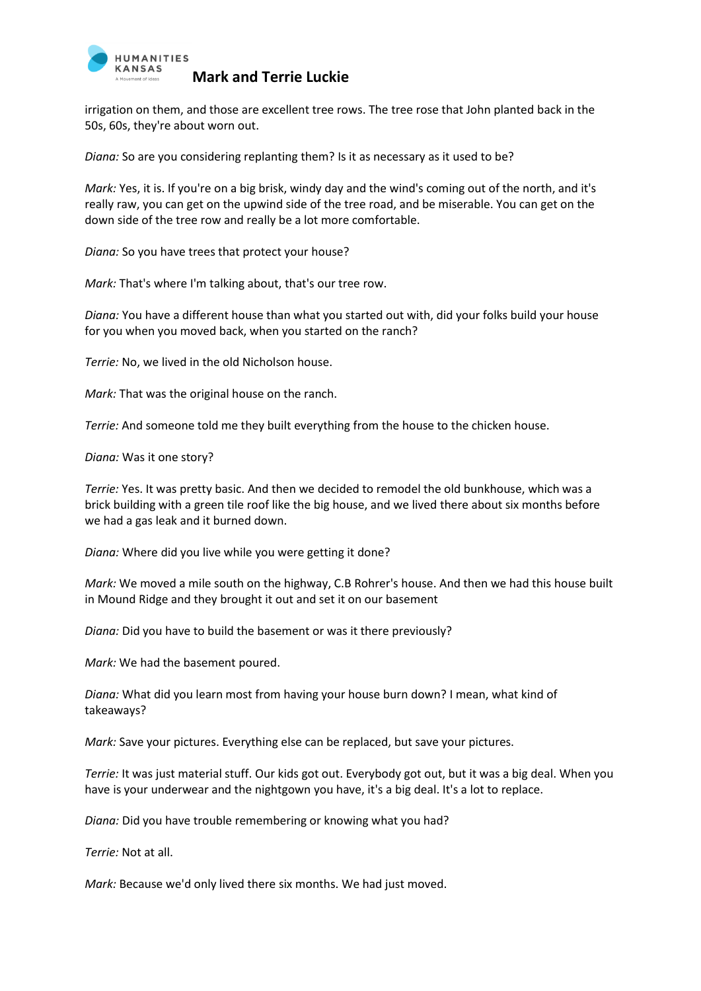

irrigation on them, and those are excellent tree rows. The tree rose that John planted back in the 50s, 60s, they're about worn out.

*Diana:* So are you considering replanting them? Is it as necessary as it used to be?

*Mark:* Yes, it is. If you're on a big brisk, windy day and the wind's coming out of the north, and it's really raw, you can get on the upwind side of the tree road, and be miserable. You can get on the down side of the tree row and really be a lot more comfortable.

*Diana:* So you have trees that protect your house?

*Mark:* That's where I'm talking about, that's our tree row.

*Diana:* You have a different house than what you started out with, did your folks build your house for you when you moved back, when you started on the ranch?

*Terrie:* No, we lived in the old Nicholson house.

*Mark:* That was the original house on the ranch.

*Terrie:* And someone told me they built everything from the house to the chicken house.

*Diana:* Was it one story?

*Terrie:* Yes. It was pretty basic. And then we decided to remodel the old bunkhouse, which was a brick building with a green tile roof like the big house, and we lived there about six months before we had a gas leak and it burned down.

*Diana:* Where did you live while you were getting it done?

*Mark:* We moved a mile south on the highway, C.B Rohrer's house. And then we had this house built in Mound Ridge and they brought it out and set it on our basement

*Diana:* Did you have to build the basement or was it there previously?

*Mark:* We had the basement poured.

*Diana:* What did you learn most from having your house burn down? I mean, what kind of takeaways?

*Mark:* Save your pictures. Everything else can be replaced, but save your pictures.

*Terrie:* It was just material stuff. Our kids got out. Everybody got out, but it was a big deal. When you have is your underwear and the nightgown you have, it's a big deal. It's a lot to replace.

*Diana:* Did you have trouble remembering or knowing what you had?

*Terrie:* Not at all.

*Mark:* Because we'd only lived there six months. We had just moved.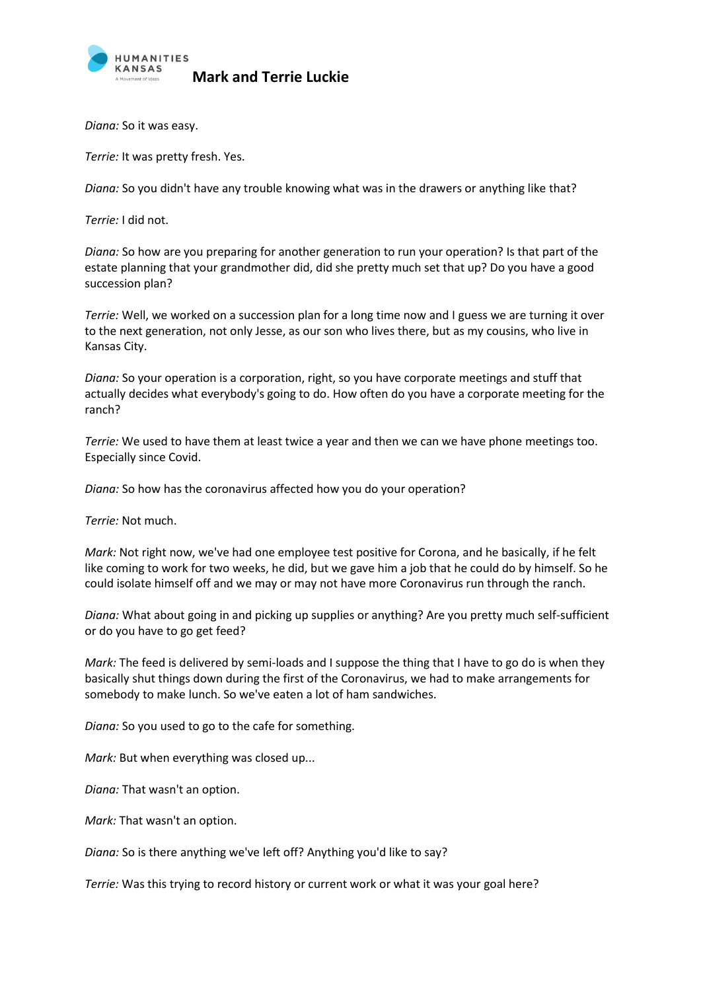

*Diana:* So it was easy.

*Terrie:* It was pretty fresh. Yes.

*Diana:* So you didn't have any trouble knowing what was in the drawers or anything like that?

*Terrie:* I did not.

*Diana:* So how are you preparing for another generation to run your operation? Is that part of the estate planning that your grandmother did, did she pretty much set that up? Do you have a good succession plan?

*Terrie:* Well, we worked on a succession plan for a long time now and I guess we are turning it over to the next generation, not only Jesse, as our son who lives there, but as my cousins, who live in Kansas City.

*Diana:* So your operation is a corporation, right, so you have corporate meetings and stuff that actually decides what everybody's going to do. How often do you have a corporate meeting for the ranch?

*Terrie:* We used to have them at least twice a year and then we can we have phone meetings too. Especially since Covid.

*Diana:* So how has the coronavirus affected how you do your operation?

*Terrie:* Not much.

*Mark:* Not right now, we've had one employee test positive for Corona, and he basically, if he felt like coming to work for two weeks, he did, but we gave him a job that he could do by himself. So he could isolate himself off and we may or may not have more Coronavirus run through the ranch.

*Diana:* What about going in and picking up supplies or anything? Are you pretty much self-sufficient or do you have to go get feed?

*Mark:* The feed is delivered by semi-loads and I suppose the thing that I have to go do is when they basically shut things down during the first of the Coronavirus, we had to make arrangements for somebody to make lunch. So we've eaten a lot of ham sandwiches.

*Diana:* So you used to go to the cafe for something.

*Mark:* But when everything was closed up...

*Diana:* That wasn't an option.

*Mark:* That wasn't an option.

*Diana:* So is there anything we've left off? Anything you'd like to say?

*Terrie:* Was this trying to record history or current work or what it was your goal here?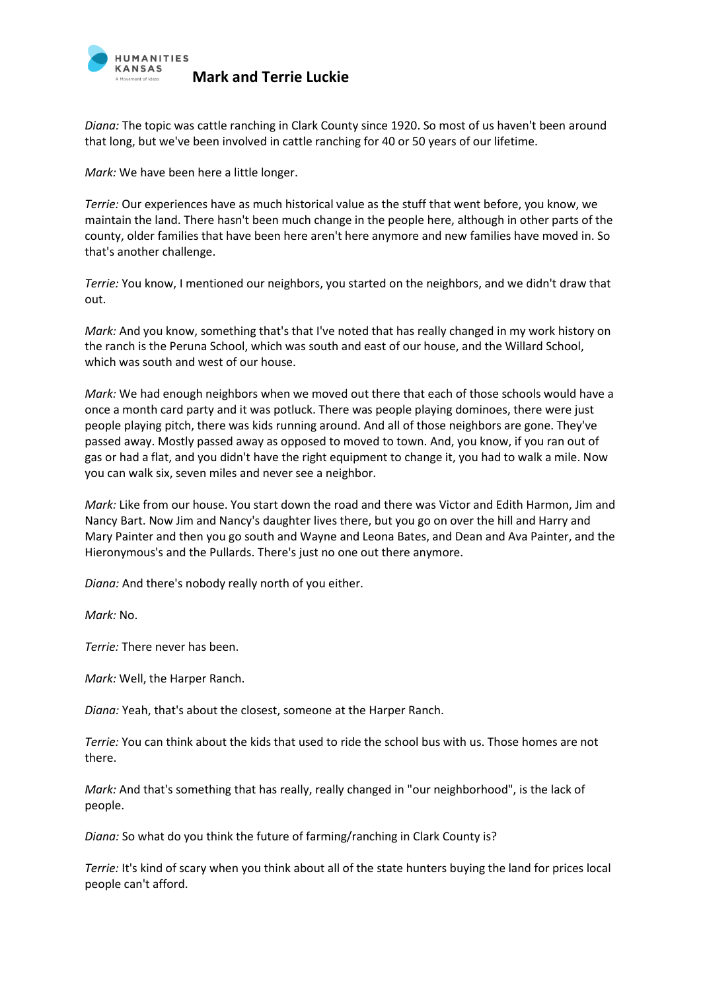

*Diana:* The topic was cattle ranching in Clark County since 1920. So most of us haven't been around that long, but we've been involved in cattle ranching for 40 or 50 years of our lifetime.

*Mark:* We have been here a little longer.

*Terrie:* Our experiences have as much historical value as the stuff that went before, you know, we maintain the land. There hasn't been much change in the people here, although in other parts of the county, older families that have been here aren't here anymore and new families have moved in. So that's another challenge.

*Terrie:* You know, I mentioned our neighbors, you started on the neighbors, and we didn't draw that out.

*Mark:* And you know, something that's that I've noted that has really changed in my work history on the ranch is the Peruna School, which was south and east of our house, and the Willard School, which was south and west of our house.

*Mark:* We had enough neighbors when we moved out there that each of those schools would have a once a month card party and it was potluck. There was people playing dominoes, there were just people playing pitch, there was kids running around. And all of those neighbors are gone. They've passed away. Mostly passed away as opposed to moved to town. And, you know, if you ran out of gas or had a flat, and you didn't have the right equipment to change it, you had to walk a mile. Now you can walk six, seven miles and never see a neighbor.

*Mark:* Like from our house. You start down the road and there was Victor and Edith Harmon, Jim and Nancy Bart. Now Jim and Nancy's daughter lives there, but you go on over the hill and Harry and Mary Painter and then you go south and Wayne and Leona Bates, and Dean and Ava Painter, and the Hieronymous's and the Pullards. There's just no one out there anymore.

*Diana:* And there's nobody really north of you either.

*Mark:* No.

*Terrie:* There never has been.

*Mark:* Well, the Harper Ranch.

*Diana:* Yeah, that's about the closest, someone at the Harper Ranch.

*Terrie:* You can think about the kids that used to ride the school bus with us. Those homes are not there.

*Mark:* And that's something that has really, really changed in "our neighborhood", is the lack of people.

*Diana:* So what do you think the future of farming/ranching in Clark County is?

*Terrie:* It's kind of scary when you think about all of the state hunters buying the land for prices local people can't afford.